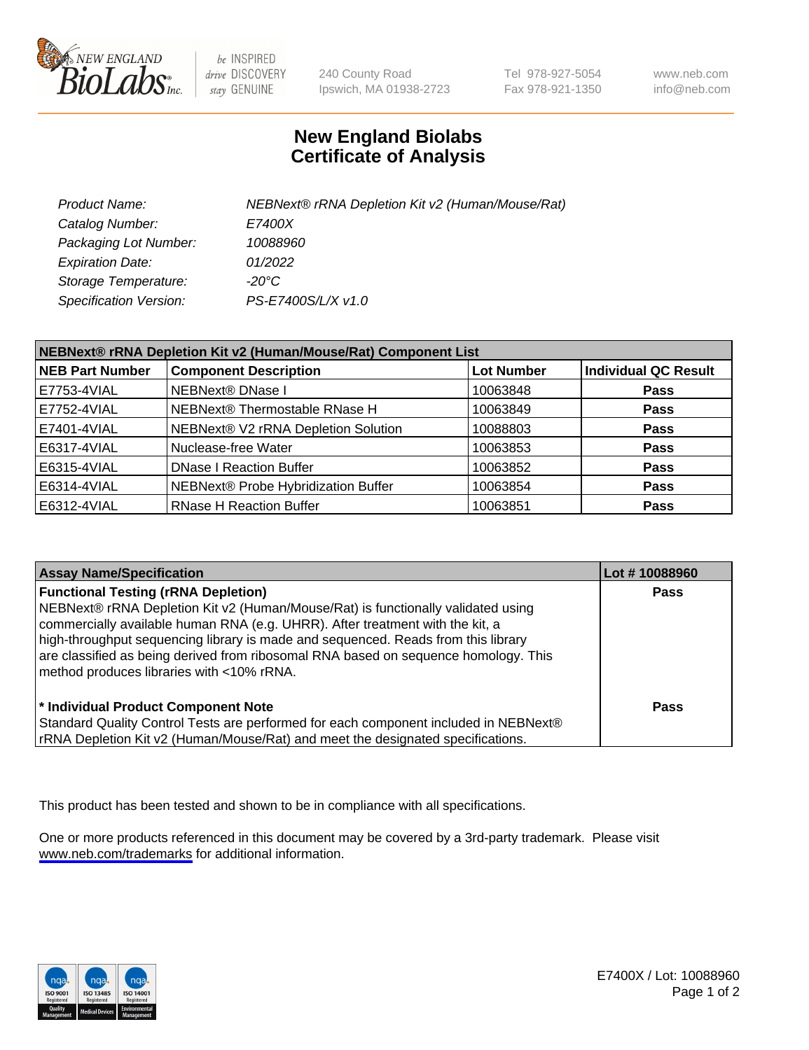

be INSPIRED drive DISCOVERY stay GENUINE

240 County Road Ipswich, MA 01938-2723 Tel 978-927-5054 Fax 978-921-1350

www.neb.com info@neb.com

## **New England Biolabs Certificate of Analysis**

| Product Name:           | NEBNext® rRNA Depletion Kit v2 (Human/Mouse/Rat) |
|-------------------------|--------------------------------------------------|
| Catalog Number:         | E7400X                                           |
| Packaging Lot Number:   | 10088960                                         |
| <b>Expiration Date:</b> | 01/2022                                          |
| Storage Temperature:    | -20°C                                            |
| Specification Version:  | PS-E7400S/L/X v1.0                               |

| NEBNext® rRNA Depletion Kit v2 (Human/Mouse/Rat) Component List |                                     |                   |                             |
|-----------------------------------------------------------------|-------------------------------------|-------------------|-----------------------------|
| <b>NEB Part Number</b>                                          | <b>Component Description</b>        | <b>Lot Number</b> | <b>Individual QC Result</b> |
| E7753-4VIAL                                                     | <b>NEBNext® DNase I</b>             | 10063848          | <b>Pass</b>                 |
| E7752-4VIAL                                                     | NEBNext® Thermostable RNase H       | 10063849          | <b>Pass</b>                 |
| E7401-4VIAL                                                     | NEBNext® V2 rRNA Depletion Solution | 10088803          | <b>Pass</b>                 |
| E6317-4VIAL                                                     | Nuclease-free Water                 | 10063853          | <b>Pass</b>                 |
| E6315-4VIAL                                                     | <b>DNase I Reaction Buffer</b>      | 10063852          | <b>Pass</b>                 |
| E6314-4VIAL                                                     | NEBNext® Probe Hybridization Buffer | 10063854          | <b>Pass</b>                 |
| E6312-4VIAL                                                     | <b>RNase H Reaction Buffer</b>      | 10063851          | <b>Pass</b>                 |

| <b>Assay Name/Specification</b>                                                                                                                                                                                                                                                                                                                                                                                                          | Lot #10088960 |
|------------------------------------------------------------------------------------------------------------------------------------------------------------------------------------------------------------------------------------------------------------------------------------------------------------------------------------------------------------------------------------------------------------------------------------------|---------------|
| <b>Functional Testing (rRNA Depletion)</b><br>NEBNext® rRNA Depletion Kit v2 (Human/Mouse/Rat) is functionally validated using<br>commercially available human RNA (e.g. UHRR). After treatment with the kit, a<br>high-throughput sequencing library is made and sequenced. Reads from this library<br>are classified as being derived from ribosomal RNA based on sequence homology. This<br>method produces libraries with <10% rRNA. | <b>Pass</b>   |
| * Individual Product Component Note<br>Standard Quality Control Tests are performed for each component included in NEBNext®<br>rRNA Depletion Kit v2 (Human/Mouse/Rat) and meet the designated specifications.                                                                                                                                                                                                                           | Pass          |

This product has been tested and shown to be in compliance with all specifications.

One or more products referenced in this document may be covered by a 3rd-party trademark. Please visit <www.neb.com/trademarks>for additional information.